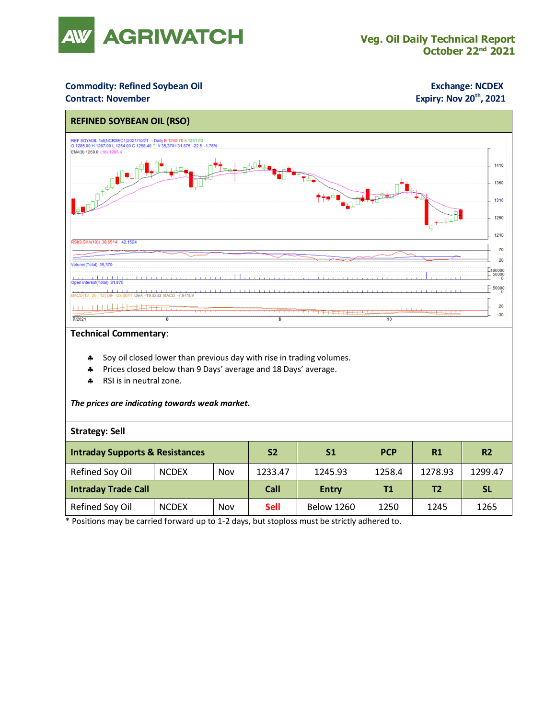

### **Commodity: Refined Soybean Oil <b>Exchange: NCDEX**

### **Contract: November**

# **Expiry: Nov 20<sup>th</sup>, 2021**



#### **Technical Commentary**:

- Soy oil closed lower than previous day with rise in trading volumes.
- Prices closed below than 9 Days' average and 18 Days' average.
- \* RSI is in neutral zone.

#### *The prices are indicating towards weak market.*

#### **Strategy: Sell**

| <b>Intraday Supports &amp; Resistances</b> |              |     | S <sub>2</sub> | S <sub>1</sub>    | <b>PCP</b> | R1      | R <sub>2</sub> |
|--------------------------------------------|--------------|-----|----------------|-------------------|------------|---------|----------------|
| Refined Soy Oil                            | <b>NCDEX</b> | Nov | 1233.47        | 1245.93           | 1258.4     | 1278.93 | 1299.47        |
| <b>Intraday Trade Call</b>                 |              |     | Call           | <b>Entry</b>      | T1         | T2      | <b>SL</b>      |
| Refined Soy Oil                            | <b>NCDEX</b> | Nov | <b>Sell</b>    | <b>Below 1260</b> | 1250       | 1245    | 1265           |

\* Positions may be carried forward up to 1-2 days, but stoploss must be strictly adhered to.